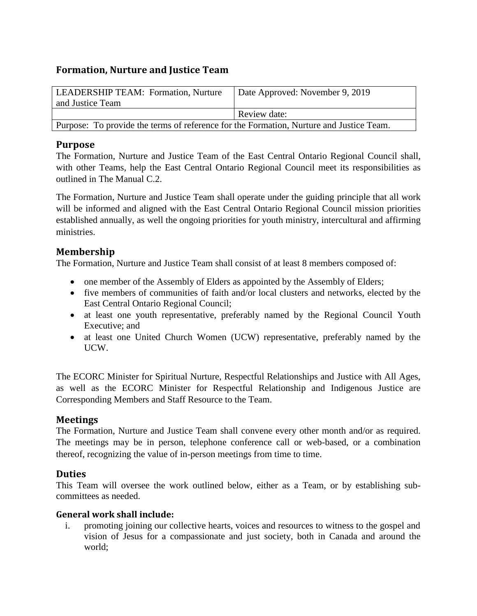# **Formation, Nurture and Justice Team**

| LEADERSHIP TEAM: Formation, Nurture                                                     | <sup>1</sup> Date Approved: November 9, 2019 |
|-----------------------------------------------------------------------------------------|----------------------------------------------|
| and Justice Team                                                                        |                                              |
|                                                                                         | Review date:                                 |
| Purpose: To provide the terms of reference for the Formation, Nurture and Justice Team. |                                              |

## **Purpose**

The Formation, Nurture and Justice Team of the East Central Ontario Regional Council shall, with other Teams, help the East Central Ontario Regional Council meet its responsibilities as outlined in The Manual C.2.

The Formation, Nurture and Justice Team shall operate under the guiding principle that all work will be informed and aligned with the East Central Ontario Regional Council mission priorities established annually, as well the ongoing priorities for youth ministry, intercultural and affirming ministries.

# **Membership**

The Formation, Nurture and Justice Team shall consist of at least 8 members composed of:

- one member of the Assembly of Elders as appointed by the Assembly of Elders;
- five members of communities of faith and/or local clusters and networks, elected by the East Central Ontario Regional Council;
- at least one youth representative, preferably named by the Regional Council Youth Executive; and
- at least one United Church Women (UCW) representative, preferably named by the UCW.

The ECORC Minister for Spiritual Nurture, Respectful Relationships and Justice with All Ages, as well as the ECORC Minister for Respectful Relationship and Indigenous Justice are Corresponding Members and Staff Resource to the Team.

# **Meetings**

The Formation, Nurture and Justice Team shall convene every other month and/or as required. The meetings may be in person, telephone conference call or web-based, or a combination thereof, recognizing the value of in-person meetings from time to time.

# **Duties**

This Team will oversee the work outlined below, either as a Team, or by establishing subcommittees as needed.

## **General work shall include:**

i. promoting joining our collective hearts, voices and resources to witness to the gospel and vision of Jesus for a compassionate and just society, both in Canada and around the world;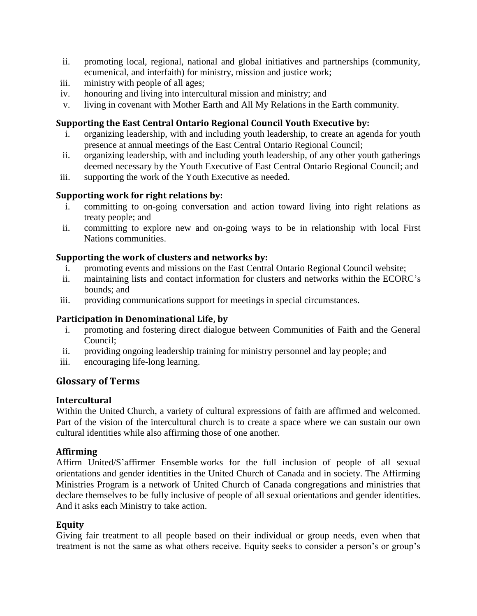- ii. promoting local, regional, national and global initiatives and partnerships (community, ecumenical, and interfaith) for ministry, mission and justice work;
- iii. ministry with people of all ages;
- iv. honouring and living into intercultural mission and ministry; and
- v. living in covenant with Mother Earth and All My Relations in the Earth community.

### **Supporting the East Central Ontario Regional Council Youth Executive by:**

- i. organizing leadership, with and including youth leadership, to create an agenda for youth presence at annual meetings of the East Central Ontario Regional Council;
- ii. organizing leadership, with and including youth leadership, of any other youth gatherings deemed necessary by the Youth Executive of East Central Ontario Regional Council; and
- iii. supporting the work of the Youth Executive as needed.

### **Supporting work for right relations by:**

- i. committing to on-going conversation and action toward living into right relations as treaty people; and
- ii. committing to explore new and on-going ways to be in relationship with local First Nations communities.

### **Supporting the work of clusters and networks by:**

- i. promoting events and missions on the East Central Ontario Regional Council website;
- ii. maintaining lists and contact information for clusters and networks within the ECORC's bounds; and
- iii. providing communications support for meetings in special circumstances.

## **Participation in Denominational Life, by**

- i. promoting and fostering direct dialogue between Communities of Faith and the General Council;
- ii. providing ongoing leadership training for ministry personnel and lay people; and
- iii. encouraging life-long learning.

## **Glossary of Terms**

#### **Intercultural**

Within the United Church, a variety of cultural expressions of faith are affirmed and welcomed. Part of the vision of the intercultural church is to create a space where we can sustain our own cultural identities while also affirming those of one another.

#### **Affirming**

Affirm United/S'affirmer Ensemble works for the full inclusion of people of all sexual orientations and gender identities in the United Church of Canada and in society. The Affirming Ministries Program is a network of United Church of Canada congregations and ministries that declare themselves to be fully inclusive of people of all sexual orientations and gender identities. And it asks each Ministry to take action.

#### **Equity**

Giving fair treatment to all people based on their individual or group needs, even when that treatment is not the same as what others receive. Equity seeks to consider a person's or group's